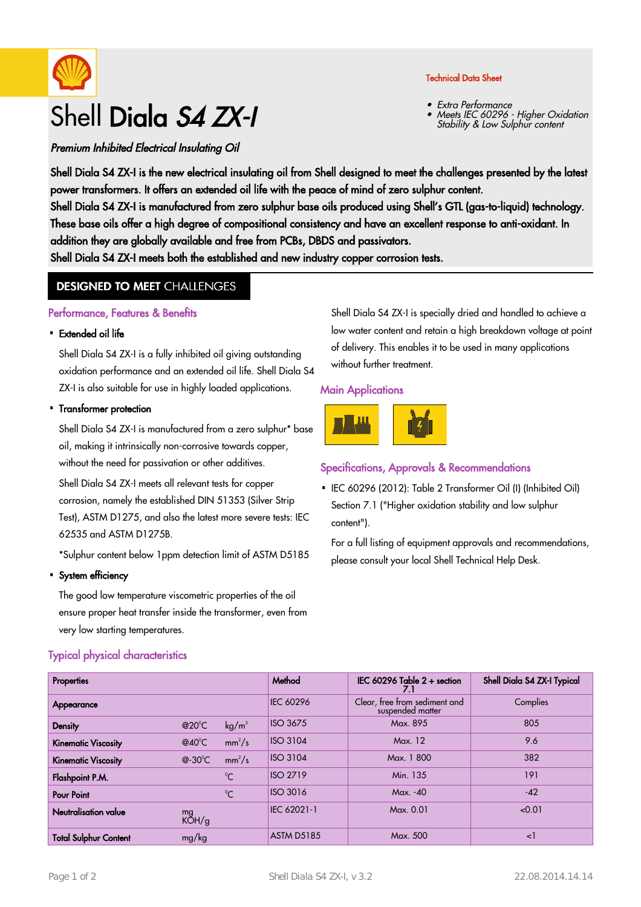

# Shell Diala S4 ZX-I

#### Technical Data Sheet

- Extra Performance
- Meets IEC 60296 Higher Oxidation Meets IEC 60296 - Higher Oxid •<br>Stability & Low Sulphur content

Premium Inhibited Electrical Insulating Oil

Shell Diala S4 ZX-I is the new electrical insulating oil from Shell designed to meet the challenges presented by the latest power transformers. It offers an extended oil life with the peace of mind of zero sulphur content.

Shell Diala S4 ZX-I is manufactured from zero sulphur base oils produced using Shell's GTL (gas-to-liquid) technology. These base oils offer a high degree of compositional consistency and have an excellent response to anti-oxidant. In addition they are globally available and free from PCBs, DBDS and passivators.

Shell Diala S4 ZX-I meets both the established and new industry copper corrosion tests.

## **DESIGNED TO MEET CHALLENGES**

#### Performance, Features & Benefits

#### • Extended oil life

Shell Diala S4 ZX-I is a fully inhibited oil giving outstanding oxidation performance and an extended oil life. Shell Diala S4 ZX-I is also suitable for use in highly loaded applications.

#### • Transformer protection

Shell Diala S4 ZX-I is manufactured from a zero sulphur\* base oil, making it intrinsically non-corrosive towards copper, without the need for passivation or other additives.

Shell Diala S4 ZX-I meets all relevant tests for copper corrosion, namely the established DIN 51353 (Silver Strip Test), ASTM D1275, and also the latest more severe tests: IEC 62535 and ASTM D1275B.

\*Sulphur content below 1ppm detection limit of ASTM D5185

#### System efficiency ·

The good low temperature viscometric properties of the oil ensure proper heat transfer inside the transformer, even from very low starting temperatures.

## Typical physical characteristics

Shell Diala S4 ZX-I is specially dried and handled to achieve a low water content and retain a high breakdown voltage at point of delivery. This enables it to be used in many applications without further treatment.

#### Main Applications



## Specifications, Approvals & Recommendations

• IEC 60296 (2012): Table 2 Transformer Oil (I) (Inhibited Oil) Section 7.1 ("Higher oxidation stability and low sulphur content").

For a full listing of equipment approvals and recommendations, please consult your local Shell Technical Help Desk.

| <b>Properties</b>            |                   |                   | Method            | IEC 60296 Table $2 +$ section                     | Shell Diala S4 ZX-I Typical |
|------------------------------|-------------------|-------------------|-------------------|---------------------------------------------------|-----------------------------|
| Appearance                   |                   |                   | <b>IEC 60296</b>  | Clear, free from sediment and<br>suspended matter | Complies                    |
| Density                      | @20 $^{\circ}$ C  | kg/m <sup>3</sup> | <b>ISO 3675</b>   | Max. 895                                          | 805                         |
| <b>Kinematic Viscosity</b>   | @40 $^{\circ}$ C  | $mm^2/s$          | <b>ISO 3104</b>   | Max. 12                                           | 9.6                         |
| <b>Kinematic Viscosity</b>   | @-30 $^{\circ}$ C | $mm^2/s$          | <b>ISO 3104</b>   | Max. 1800                                         | 382                         |
| Flashpoint P.M.              |                   | $^{\circ}$ C      | <b>ISO 2719</b>   | Min. 135                                          | 191                         |
| <b>Pour Point</b>            |                   | $^{\circ}C$       | <b>ISO 3016</b>   | $Max. -40$                                        | $-42$                       |
| Neutralisation value         | mg<br>KOH/g       |                   | IEC 62021-1       | Max. 0.01                                         | < 0.01                      |
| <b>Total Sulphur Content</b> | mg/kg             |                   | <b>ASTM D5185</b> | Max. 500                                          | ا>                          |